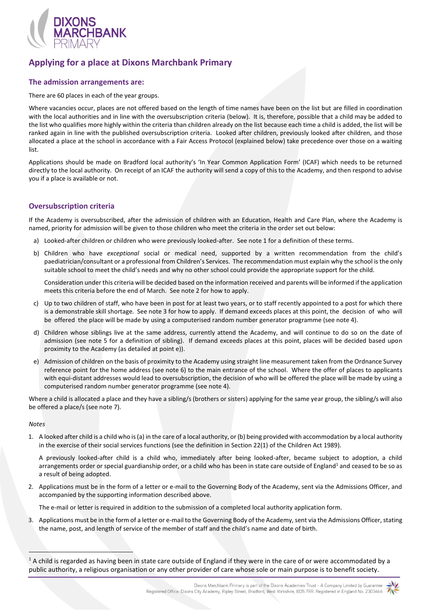

# **Applying for a place at Dixons Marchbank Primary**

## **The admission arrangements are:**

There are 60 places in each of the year groups.

Where vacancies occur, places are not offered based on the length of time names have been on the list but are filled in coordination with the local authorities and in line with the oversubscription criteria (below). It is, therefore, possible that a child may be added to the list who qualifies more highly within the criteria than children already on the list because each time a child is added, the list will be ranked again in line with the published oversubscription criteria. Looked after children, previously looked after children, and those allocated a place at the school in accordance with a Fair Access Protocol (explained below) take precedence over those on a waiting list.

Applications should be made on Bradford local authority's 'In Year Common Application Form' (ICAF) which needs to be returned directly to the local authority. On receipt of an ICAF the authority will send a copy of this to the Academy, and then respond to advise you if a place is available or not.

## **Oversubscription criteria**

If the Academy is oversubscribed, after the admission of children with an Education, Health and Care Plan, where the Academy is named, priority for admission will be given to those children who meet the criteria in the order set out below:

- a) Looked-after children or children who were previously looked-after. See note 1 for a definition of these terms.
- b) Children who have *exceptional* social or medical need, supported by a written recommendation from the child's paediatrician/consultant or a professional from Children's Services. The recommendation must explain why the school is the only suitable school to meet the child's needs and why no other school could provide the appropriate support for the child.

Consideration under this criteria will be decided based on the information received and parents will be informed if the application meets this criteria before the end of March. See note 2 for how to apply.

- c) Up to two children of staff, who have been in post for at least two years, or to staff recently appointed to a post for which there is a demonstrable skill shortage. See note 3 for how to apply. If demand exceeds places at this point, the decision of who will be offered the place will be made by using a computerised random number generator programme (see note 4).
- d) Children whose siblings live at the same address, currently attend the Academy, and will continue to do so on the date of admission (see note 5 for a definition of sibling). If demand exceeds places at this point, places will be decided based upon proximity to the Academy (as detailed at point e)).
- e) Admission of children on the basis of proximity to the Academy using straight line measurement taken from the Ordnance Survey reference point for the home address (see note 6) to the main entrance of the school. Where the offer of places to applicants with equi-distant addresses would lead to oversubscription, the decision of who will be offered the place will be made by using a computerised random number generator programme (see note 4).

Where a child is allocated a place and they have a sibling/s (brothers or sisters) applying for the same year group, the sibling/s will also be offered a place/s (see note 7).

#### *Notes*

1. A looked after child is a child who is (a) in the care of a local authority, or (b) being provided with accommodation by a local authority in the exercise of their social services functions (see the definition in Section 22(1) of the Children Act 1989).

A previously looked-after child is a child who, immediately after being looked-after, became subject to adoption, a child arrangements order or special guardianship order, or a child who has been in state care outside of England<sup>1</sup> and ceased to be so as a result of being adopted.

2. Applications must be in the form of a letter or e-mail to the Governing Body of the Academy, sent via the Admissions Officer, and accompanied by the supporting information described above.

The e-mail or letter is required in addition to the submission of a completed local authority application form.

3. Applications must be in the form of a letter or e-mail to the Governing Body of the Academy, sent via the Admissions Officer, stating the name, post, and length of service of the member of staff and the child's name and date of birth.

Dixons Marchbank Primary is part of the Dixons Academies Trust - A Company Limited by Guarantee Registered Office: Dixons City Academy, Ripley Street, Bradford, West Yorkshire, BD5 7RR. Registered in England No. 2303464



 $1$  A child is regarded as having been in state care outside of England if they were in the care of or were accommodated by a public authority, a religious organisation or any other provider of care whose sole or main purpose is to benefit society.